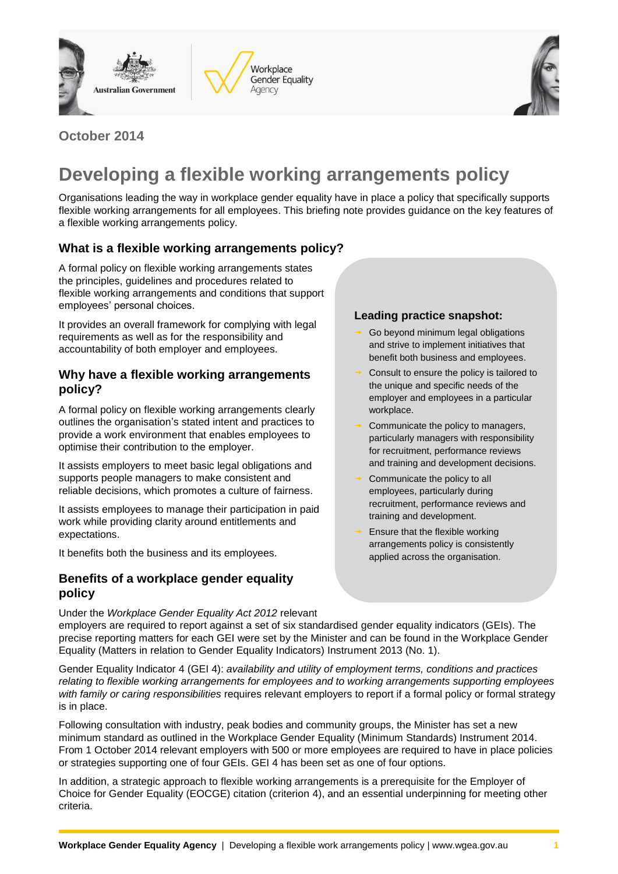





## **October 2014**

# **Developing a flexible working arrangements policy**

Organisations leading the way in workplace gender equality have in place a policy that specifically supports flexible working arrangements for all employees. This briefing note provides guidance on the key features of a flexible working arrangements policy.

### **What is a flexible working arrangements policy?**

A formal policy on flexible working arrangements states the principles, guidelines and procedures related to flexible working arrangements and conditions that support employees' personal choices.

It provides an overall framework for complying with legal requirements as well as for the responsibility and accountability of both employer and employees.

#### **Why have a flexible working arrangements policy?**

A formal policy on flexible working arrangements clearly outlines the organisation's stated intent and practices to provide a work environment that enables employees to optimise their contribution to the employer.

It assists employers to meet basic legal obligations and supports people managers to make consistent and reliable decisions, which promotes a culture of fairness.

It assists employees to manage their participation in paid work while providing clarity around entitlements and expectations.

It benefits both the business and its employees.

#### **Benefits of a workplace gender equality policy**

#### Under the *Workplace Gender Equality Act 2012* relevant

#### **Leading practice snapshot:**

- Go beyond minimum legal obligations and strive to implement initiatives that benefit both business and employees.
- Consult to ensure the policy is tailored to the unique and specific needs of the employer and employees in a particular workplace.
- Communicate the policy to managers, particularly managers with responsibility for recruitment, performance reviews and training and development decisions.
- Communicate the policy to all employees, particularly during recruitment, performance reviews and training and development.
- Ensure that the flexible working arrangements policy is consistently applied across the organisation.

employers are required to report against a set of six standardised [gender equality indicators](http://www.wgea.gov.au/report/gender-equality-indicators-and-reporting-matters) (GEIs). The precise [reporting matters](http://www.wgea.gov.au/report/gender-equality-indicators-and-reporting-matters) for each GEI were set by the Minister and can be found in the [Workplace Gender](http://www.comlaw.gov.au/Details/F2013L00434)  [Equality \(Matters in relation to Gender Equality Indicators\) Instrument 2013](http://www.comlaw.gov.au/Details/F2013L00434) (No. 1).

Gender Equality Indicator 4 (GEI 4): *availability and utility of employment terms, conditions and practices relating to flexible working arrangements for employees and to working arrangements supporting employees with family or caring responsibilities* requires relevant employers to report if a formal policy or formal strategy is in place.

Following consultation with industry, peak bodies and community groups, the Minister has set a new minimum standard as outlined in the Workplace Gender Equality (Minimum Standards) Instrument 2014. From 1 October 2014 relevant employers with 500 or more employees are required to have in place policies or strategies supporting one of four GEIs. GEI 4 has been set as one of four options.

In addition, a strategic approach to flexible working arrangements is a prerequisite for the Employer of Choice for Gender Equality (EOCGE) citation (criterion 4), and an essential underpinning for meeting other criteria.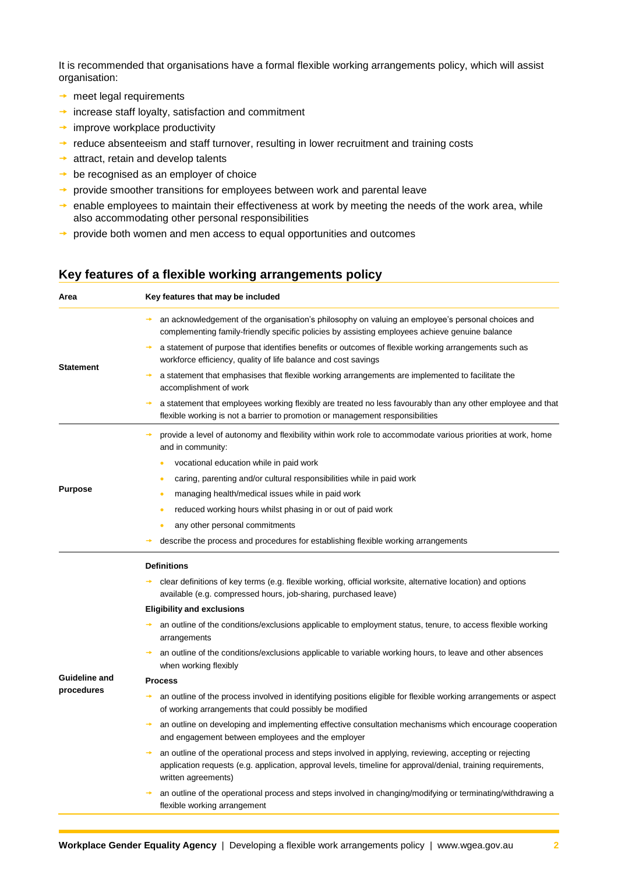It is recommended that organisations have a formal flexible working arrangements policy, which will assist organisation:

- $\rightarrow$  meet legal requirements
- $\rightarrow$  increase staff loyalty, satisfaction and commitment
- $\rightarrow$  improve workplace productivity
- $\rightarrow$  reduce absenteeism and staff turnover, resulting in lower recruitment and training costs
- $\rightarrow$  attract, retain and develop talents
- $\rightarrow$  be recognised as an employer of choice
- $\rightarrow$  provide smoother transitions for employees between work and parental leave
- $\rightarrow$  enable employees to maintain their effectiveness at work by meeting the needs of the work area, while also accommodating other personal responsibilities
- $\rightarrow$  provide both women and men access to equal opportunities and outcomes

#### **Key features of a flexible working arrangements policy**

| Area                        | Key features that may be included                                                                                                                                                                                                               |
|-----------------------------|-------------------------------------------------------------------------------------------------------------------------------------------------------------------------------------------------------------------------------------------------|
| <b>Statement</b>            | an acknowledgement of the organisation's philosophy on valuing an employee's personal choices and<br>complementing family-friendly specific policies by assisting employees achieve genuine balance                                             |
|                             | a statement of purpose that identifies benefits or outcomes of flexible working arrangements such as<br>workforce efficiency, quality of life balance and cost savings                                                                          |
|                             | a statement that emphasises that flexible working arrangements are implemented to facilitate the<br>accomplishment of work                                                                                                                      |
|                             | a statement that employees working flexibly are treated no less favourably than any other employee and that<br>flexible working is not a barrier to promotion or management responsibilities                                                    |
| <b>Purpose</b>              | provide a level of autonomy and flexibility within work role to accommodate various priorities at work, home<br>and in community:                                                                                                               |
|                             | vocational education while in paid work<br>$\bullet$                                                                                                                                                                                            |
|                             | caring, parenting and/or cultural responsibilities while in paid work<br>$\bullet$                                                                                                                                                              |
|                             | managing health/medical issues while in paid work<br>٠                                                                                                                                                                                          |
|                             | reduced working hours whilst phasing in or out of paid work<br>۰                                                                                                                                                                                |
|                             | any other personal commitments                                                                                                                                                                                                                  |
|                             | describe the process and procedures for establishing flexible working arrangements                                                                                                                                                              |
| Guideline and<br>procedures | <b>Definitions</b>                                                                                                                                                                                                                              |
|                             | clear definitions of key terms (e.g. flexible working, official worksite, alternative location) and options<br>→<br>available (e.g. compressed hours, job-sharing, purchased leave)                                                             |
|                             | <b>Eligibility and exclusions</b>                                                                                                                                                                                                               |
|                             | an outline of the conditions/exclusions applicable to employment status, tenure, to access flexible working<br>arrangements                                                                                                                     |
|                             | an outline of the conditions/exclusions applicable to variable working hours, to leave and other absences<br>when working flexibly                                                                                                              |
|                             | <b>Process</b>                                                                                                                                                                                                                                  |
|                             | an outline of the process involved in identifying positions eligible for flexible working arrangements or aspect<br>→<br>of working arrangements that could possibly be modified                                                                |
|                             | an outline on developing and implementing effective consultation mechanisms which encourage cooperation<br>and engagement between employees and the employer                                                                                    |
|                             | an outline of the operational process and steps involved in applying, reviewing, accepting or rejecting<br>application requests (e.g. application, approval levels, timeline for approval/denial, training requirements,<br>written agreements) |
|                             | an outline of the operational process and steps involved in changing/modifying or terminating/withdrawing a<br>flexible working arrangement                                                                                                     |